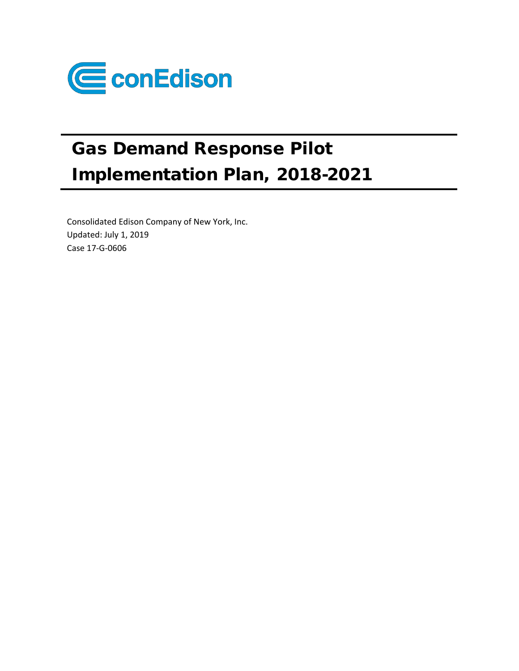

# Gas Demand Response Pilot Implementation Plan, 2018-2021

Consolidated Edison Company of New York, Inc. Updated: July 1, 2019 Case 17-G-0606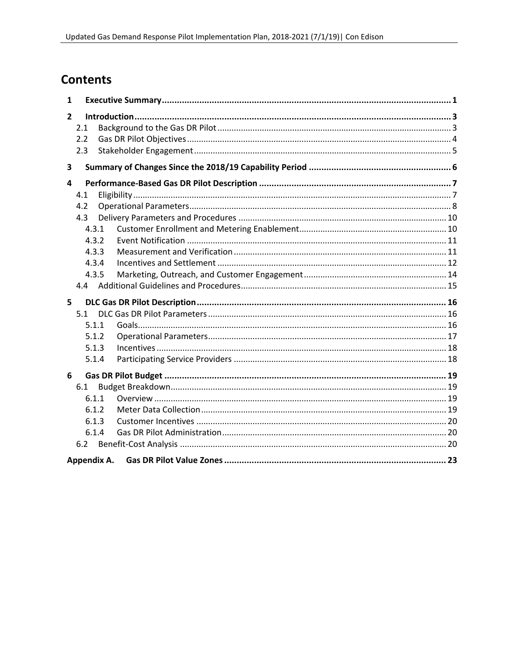## **Contents**

| 1            |             |       |  |  |  |
|--------------|-------------|-------|--|--|--|
| $\mathbf{2}$ |             |       |  |  |  |
|              | 2.1         |       |  |  |  |
|              | 2.2         |       |  |  |  |
|              | 2.3         |       |  |  |  |
| 3            |             |       |  |  |  |
| 4            |             |       |  |  |  |
|              | 4.1         |       |  |  |  |
|              | 4.2         |       |  |  |  |
|              | 4.3         |       |  |  |  |
|              |             | 4.3.1 |  |  |  |
|              |             | 4.3.2 |  |  |  |
|              |             | 4.3.3 |  |  |  |
|              |             | 4.3.4 |  |  |  |
|              |             | 4.3.5 |  |  |  |
|              |             |       |  |  |  |
| 5            |             |       |  |  |  |
|              | 5.1         |       |  |  |  |
|              |             | 5.1.1 |  |  |  |
|              |             | 5.1.2 |  |  |  |
|              |             | 5.1.3 |  |  |  |
|              |             | 5.1.4 |  |  |  |
| 6            |             |       |  |  |  |
|              | 6.1         |       |  |  |  |
|              |             | 6.1.1 |  |  |  |
|              |             | 6.1.2 |  |  |  |
|              |             | 6.1.3 |  |  |  |
|              |             | 6.1.4 |  |  |  |
|              | 6.2         |       |  |  |  |
|              | Appendix A. |       |  |  |  |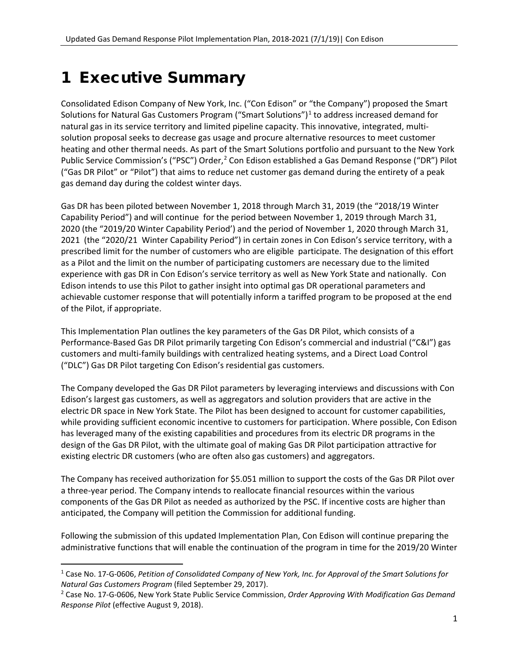## <span id="page-2-0"></span>1 Executive Summary

Consolidated Edison Company of New York, Inc. ("Con Edison" or "the Company") proposed the Smart Solutions for Natural Gas Customers Program ("Smart Solutions") $<sup>1</sup>$  $<sup>1</sup>$  $<sup>1</sup>$  to address increased demand for</sup> natural gas in its service territory and limited pipeline capacity. This innovative, integrated, multisolution proposal seeks to decrease gas usage and procure alternative resources to meet customer heating and other thermal needs. As part of the Smart Solutions portfolio and pursuant to the New York Public Service Commission's ("PSC") Order,<sup>[2](#page-2-2)</sup> Con Edison established a Gas Demand Response ("DR") Pilot ("Gas DR Pilot" or "Pilot") that aims to reduce net customer gas demand during the entirety of a peak gas demand day during the coldest winter days.

Gas DR has been piloted between November 1, 2018 through March 31, 2019 (the "2018/19 Winter Capability Period") and will continue for the period between November 1, 2019 through March 31, 2020 (the "2019/20 Winter Capability Period') and the period of November 1, 2020 through March 31, 2021 (the "2020/21 Winter Capability Period") in certain zones in Con Edison's service territory, with a prescribed limit for the number of customers who are eligible participate. The designation of this effort as a Pilot and the limit on the number of participating customers are necessary due to the limited experience with gas DR in Con Edison's service territory as well as New York State and nationally. Con Edison intends to use this Pilot to gather insight into optimal gas DR operational parameters and achievable customer response that will potentially inform a tariffed program to be proposed at the end of the Pilot, if appropriate.

This Implementation Plan outlines the key parameters of the Gas DR Pilot, which consists of a Performance-Based Gas DR Pilot primarily targeting Con Edison's commercial and industrial ("C&I") gas customers and multi-family buildings with centralized heating systems, and a Direct Load Control ("DLC") Gas DR Pilot targeting Con Edison's residential gas customers.

The Company developed the Gas DR Pilot parameters by leveraging interviews and discussions with Con Edison's largest gas customers, as well as aggregators and solution providers that are active in the electric DR space in New York State. The Pilot has been designed to account for customer capabilities, while providing sufficient economic incentive to customers for participation. Where possible, Con Edison has leveraged many of the existing capabilities and procedures from its electric DR programs in the design of the Gas DR Pilot, with the ultimate goal of making Gas DR Pilot participation attractive for existing electric DR customers (who are often also gas customers) and aggregators.

The Company has received authorization for \$5.051 million to support the costs of the Gas DR Pilot over a three-year period. The Company intends to reallocate financial resources within the various components of the Gas DR Pilot as needed as authorized by the PSC. If incentive costs are higher than anticipated, the Company will petition the Commission for additional funding.

Following the submission of this updated Implementation Plan, Con Edison will continue preparing the administrative functions that will enable the continuation of the program in time for the 2019/20 Winter

<span id="page-2-1"></span> <sup>1</sup> Case No. 17-G-0606, *Petition of Consolidated Company of New York, Inc. for Approval of the Smart Solutions for Natural Gas Customers Program* (filed September 29, 2017).

<span id="page-2-2"></span><sup>2</sup> Case No. 17-G-0606, New York State Public Service Commission, *Order Approving With Modification Gas Demand Response Pilot* (effective August 9, 2018).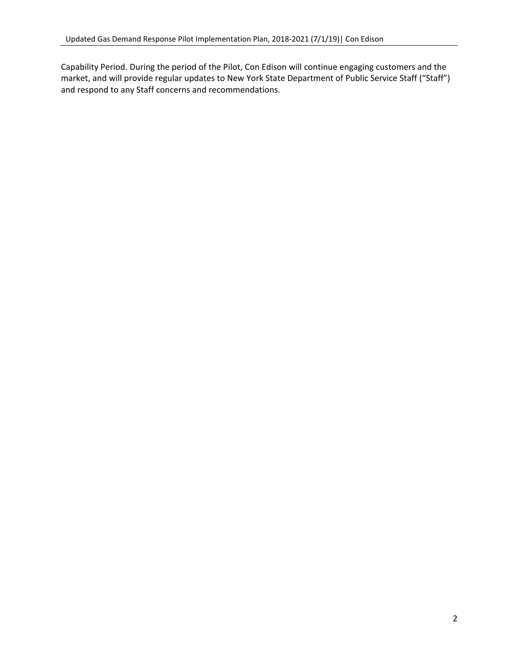Capability Period. During the period of the Pilot, Con Edison will continue engaging customers and the market, and will provide regular updates to New York State Department of Public Service Staff ("Staff") and respond to any Staff concerns and recommendations.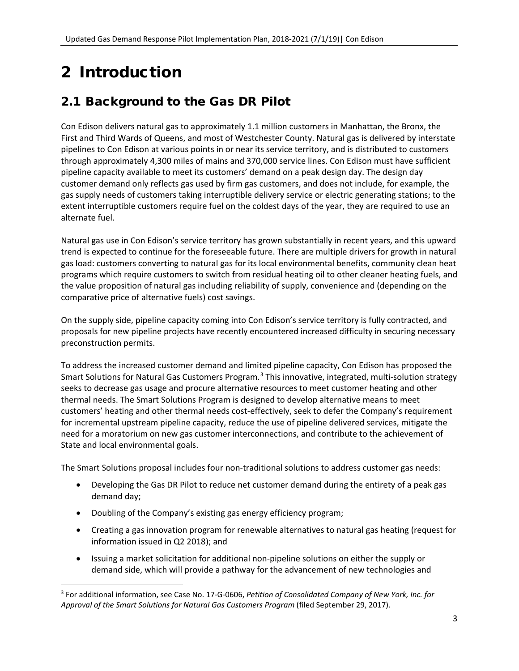# <span id="page-4-0"></span>2 Introduction

## <span id="page-4-1"></span>2.1 Background to the Gas DR Pilot

Con Edison delivers natural gas to approximately 1.1 million customers in Manhattan, the Bronx, the First and Third Wards of Queens, and most of Westchester County. Natural gas is delivered by interstate pipelines to Con Edison at various points in or near its service territory, and is distributed to customers through approximately 4,300 miles of mains and 370,000 service lines. Con Edison must have sufficient pipeline capacity available to meet its customers' demand on a peak design day. The design day customer demand only reflects gas used by firm gas customers, and does not include, for example, the gas supply needs of customers taking interruptible delivery service or electric generating stations; to the extent interruptible customers require fuel on the coldest days of the year, they are required to use an alternate fuel.

Natural gas use in Con Edison's service territory has grown substantially in recent years, and this upward trend is expected to continue for the foreseeable future. There are multiple drivers for growth in natural gas load: customers converting to natural gas for its local environmental benefits, community clean heat programs which require customers to switch from residual heating oil to other cleaner heating fuels, and the value proposition of natural gas including reliability of supply, convenience and (depending on the comparative price of alternative fuels) cost savings.

On the supply side, pipeline capacity coming into Con Edison's service territory is fully contracted, and proposals for new pipeline projects have recently encountered increased difficulty in securing necessary preconstruction permits.

To address the increased customer demand and limited pipeline capacity, Con Edison has proposed the Smart Solutions for Natural Gas Customers Program.<sup>[3](#page-4-2)</sup> This innovative, integrated, multi-solution strategy seeks to decrease gas usage and procure alternative resources to meet customer heating and other thermal needs. The Smart Solutions Program is designed to develop alternative means to meet customers' heating and other thermal needs cost-effectively, seek to defer the Company's requirement for incremental upstream pipeline capacity, reduce the use of pipeline delivered services, mitigate the need for a moratorium on new gas customer interconnections, and contribute to the achievement of State and local environmental goals.

The Smart Solutions proposal includes four non-traditional solutions to address customer gas needs:

- Developing the Gas DR Pilot to reduce net customer demand during the entirety of a peak gas demand day;
- Doubling of the Company's existing gas energy efficiency program;
- Creating a gas innovation program for renewable alternatives to natural gas heating (request for information issued in Q2 2018); and
- Issuing a market solicitation for additional non-pipeline solutions on either the supply or demand side, which will provide a pathway for the advancement of new technologies and

<span id="page-4-2"></span> <sup>3</sup> For additional information, see Case No. 17-G-0606, *Petition of Consolidated Company of New York, Inc. for Approval of the Smart Solutions for Natural Gas Customers Program* (filed September 29, 2017).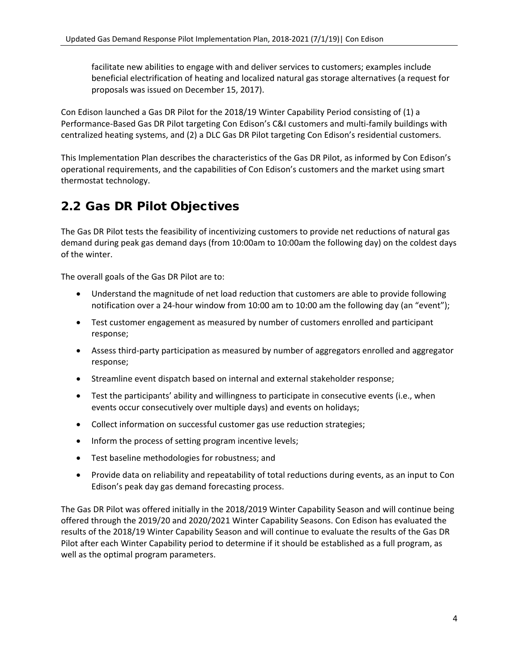facilitate new abilities to engage with and deliver services to customers; examples include beneficial electrification of heating and localized natural gas storage alternatives (a request for proposals was issued on December 15, 2017).

Con Edison launched a Gas DR Pilot for the 2018/19 Winter Capability Period consisting of (1) a Performance-Based Gas DR Pilot targeting Con Edison's C&I customers and multi-family buildings with centralized heating systems, and (2) a DLC Gas DR Pilot targeting Con Edison's residential customers.

This Implementation Plan describes the characteristics of the Gas DR Pilot, as informed by Con Edison's operational requirements, and the capabilities of Con Edison's customers and the market using smart thermostat technology.

## <span id="page-5-0"></span>2.2 Gas DR Pilot Objectives

The Gas DR Pilot tests the feasibility of incentivizing customers to provide net reductions of natural gas demand during peak gas demand days (from 10:00am to 10:00am the following day) on the coldest days of the winter.

The overall goals of the Gas DR Pilot are to:

- Understand the magnitude of net load reduction that customers are able to provide following notification over a 24-hour window from 10:00 am to 10:00 am the following day (an "event");
- Test customer engagement as measured by number of customers enrolled and participant response;
- Assess third-party participation as measured by number of aggregators enrolled and aggregator response;
- Streamline event dispatch based on internal and external stakeholder response;
- Test the participants' ability and willingness to participate in consecutive events (i.e., when events occur consecutively over multiple days) and events on holidays;
- Collect information on successful customer gas use reduction strategies;
- Inform the process of setting program incentive levels;
- Test baseline methodologies for robustness; and
- Provide data on reliability and repeatability of total reductions during events, as an input to Con Edison's peak day gas demand forecasting process.

The Gas DR Pilot was offered initially in the 2018/2019 Winter Capability Season and will continue being offered through the 2019/20 and 2020/2021 Winter Capability Seasons. Con Edison has evaluated the results of the 2018/19 Winter Capability Season and will continue to evaluate the results of the Gas DR Pilot after each Winter Capability period to determine if it should be established as a full program, as well as the optimal program parameters.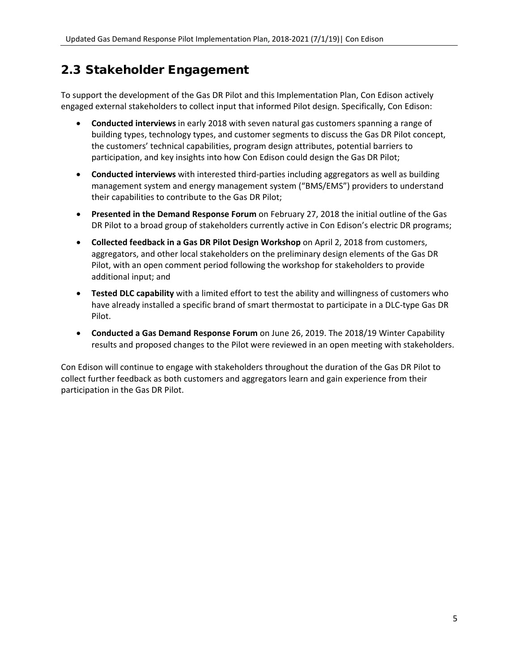### <span id="page-6-0"></span>2.3 Stakeholder Engagement

To support the development of the Gas DR Pilot and this Implementation Plan, Con Edison actively engaged external stakeholders to collect input that informed Pilot design. Specifically, Con Edison:

- **Conducted interviews** in early 2018 with seven natural gas customers spanning a range of building types, technology types, and customer segments to discuss the Gas DR Pilot concept, the customers' technical capabilities, program design attributes, potential barriers to participation, and key insights into how Con Edison could design the Gas DR Pilot;
- **Conducted interviews** with interested third-parties including aggregators as well as building management system and energy management system ("BMS/EMS") providers to understand their capabilities to contribute to the Gas DR Pilot;
- **Presented in the Demand Response Forum** on February 27, 2018 the initial outline of the Gas DR Pilot to a broad group of stakeholders currently active in Con Edison's electric DR programs;
- **Collected feedback in a Gas DR Pilot Design Workshop** on April 2, 2018 from customers, aggregators, and other local stakeholders on the preliminary design elements of the Gas DR Pilot, with an open comment period following the workshop for stakeholders to provide additional input; and
- **Tested DLC capability** with a limited effort to test the ability and willingness of customers who have already installed a specific brand of smart thermostat to participate in a DLC-type Gas DR Pilot.
- **Conducted a Gas Demand Response Forum** on June 26, 2019. The 2018/19 Winter Capability results and proposed changes to the Pilot were reviewed in an open meeting with stakeholders.

Con Edison will continue to engage with stakeholders throughout the duration of the Gas DR Pilot to collect further feedback as both customers and aggregators learn and gain experience from their participation in the Gas DR Pilot.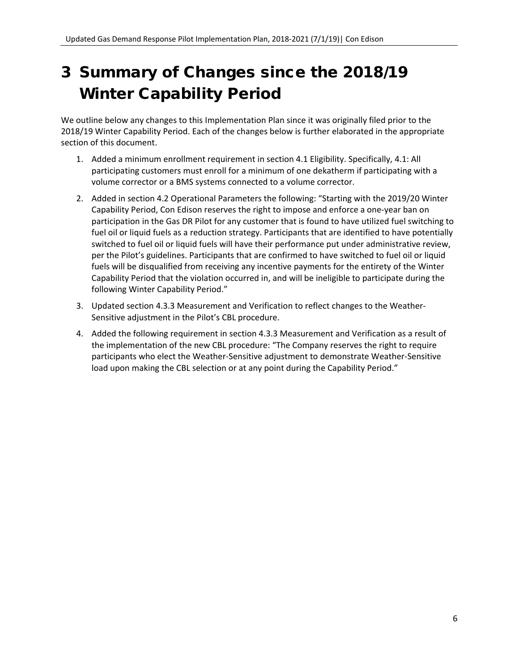## <span id="page-7-0"></span>3 Summary of Changes since the 2018/19 Winter Capability Period

We outline below any changes to this Implementation Plan since it was originally filed prior to the 2018/19 Winter Capability Period. Each of the changes below is further elaborated in the appropriate section of this document.

- 1. Added a minimum enrollment requirement in section [4.1](#page-8-1) [Eligibility.](#page-8-1) Specifically, 4.1: All participating customers must enroll for a minimum of one dekatherm if participating with a volume corrector or a BMS systems connected to a volume corrector.
- 2. Added in section [4.2](#page-9-0) [Operational Parameters](#page-9-0) the following: "Starting with the 2019/20 Winter Capability Period, Con Edison reserves the right to impose and enforce a one-year ban on participation in the Gas DR Pilot for any customer that is found to have utilized fuel switching to fuel oil or liquid fuels as a reduction strategy. Participants that are identified to have potentially switched to fuel oil or liquid fuels will have their performance put under administrative review, per the Pilot's guidelines. Participants that are confirmed to have switched to fuel oil or liquid fuels will be disqualified from receiving any incentive payments for the entirety of the Winter Capability Period that the violation occurred in, and will be ineligible to participate during the following Winter Capability Period."
- 3. Updated section [4.3.3](#page-12-1) [Measurement and Verification](#page-12-1) to reflect changes to the Weather-Sensitive adjustment in the Pilot's CBL procedure.
- 4. Added the following requirement in section [4.3.3](#page-12-1) [Measurement and Verification](#page-12-1) as a result of the implementation of the new CBL procedure: "The Company reserves the right to require participants who elect the Weather-Sensitive adjustment to demonstrate Weather-Sensitive load upon making the CBL selection or at any point during the Capability Period."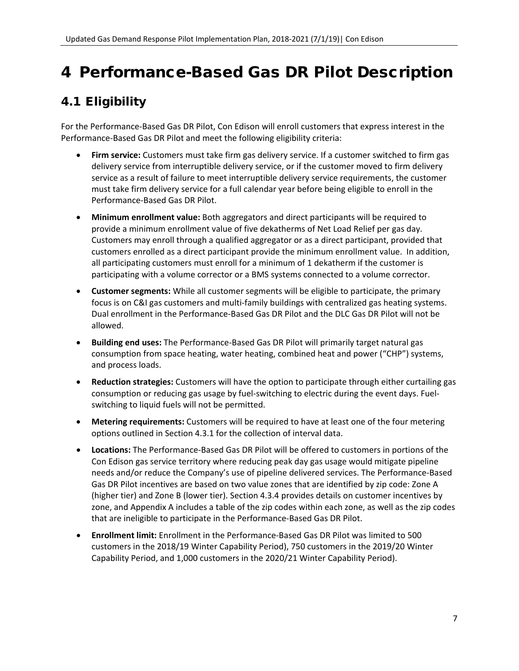## <span id="page-8-0"></span>4 Performance-Based Gas DR Pilot Description

## <span id="page-8-1"></span>4.1 Eligibility

For the Performance-Based Gas DR Pilot, Con Edison will enroll customers that express interest in the Performance-Based Gas DR Pilot and meet the following eligibility criteria:

- **Firm service:** Customers must take firm gas delivery service. If a customer switched to firm gas delivery service from interruptible delivery service, or if the customer moved to firm delivery service as a result of failure to meet interruptible delivery service requirements, the customer must take firm delivery service for a full calendar year before being eligible to enroll in the Performance-Based Gas DR Pilot.
- **Minimum enrollment value:** Both aggregators and direct participants will be required to provide a minimum enrollment value of five dekatherms of Net Load Relief per gas day. Customers may enroll through a qualified aggregator or as a direct participant, provided that customers enrolled as a direct participant provide the minimum enrollment value. In addition, all participating customers must enroll for a minimum of 1 dekatherm if the customer is participating with a volume corrector or a BMS systems connected to a volume corrector.
- **Customer segments:** While all customer segments will be eligible to participate, the primary focus is on C&I gas customers and multi-family buildings with centralized gas heating systems. Dual enrollment in the Performance-Based Gas DR Pilot and the DLC Gas DR Pilot will not be allowed.
- **Building end uses:** The Performance-Based Gas DR Pilot will primarily target natural gas consumption from space heating, water heating, combined heat and power ("CHP") systems, and process loads.
- **Reduction strategies:** Customers will have the option to participate through either curtailing gas consumption or reducing gas usage by fuel-switching to electric during the event days. Fuelswitching to liquid fuels will not be permitted.
- **Metering requirements:** Customers will be required to have at least one of the four metering options outlined in Section [4.3.1](#page-11-1) for the collection of interval data.
- **Locations:** The Performance-Based Gas DR Pilot will be offered to customers in portions of the Con Edison gas service territory where reducing peak day gas usage would mitigate pipeline needs and/or reduce the Company's use of pipeline delivered services. The Performance-Based Gas DR Pilot incentives are based on two value zones that are identified by zip code: Zone A (higher tier) and Zone B (lower tier). Section [4.3.4](#page-13-0) provides details on customer incentives by zone, and Appendix A includes a table of the zip codes within each zone, as well as the zip codes that are ineligible to participate in the Performance-Based Gas DR Pilot.
- **Enrollment limit:** Enrollment in the Performance-Based Gas DR Pilot was limited to 500 customers in the 2018/19 Winter Capability Period), 750 customers in the 2019/20 Winter Capability Period, and 1,000 customers in the 2020/21 Winter Capability Period).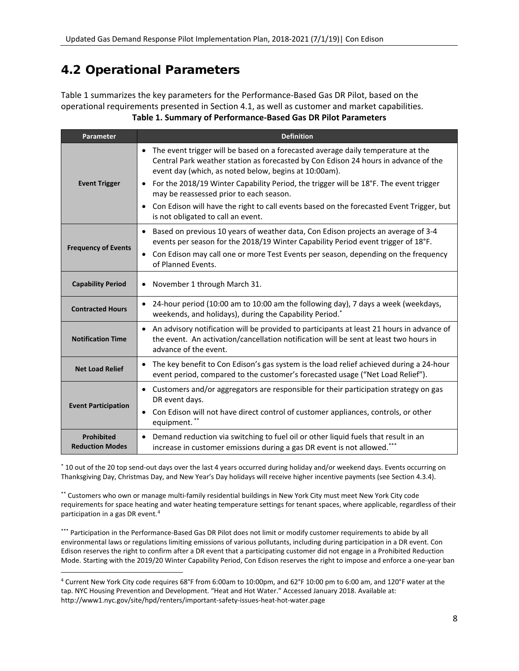### <span id="page-9-0"></span>4.2 Operational Parameters

[Table 1](#page-9-1) summarizes the key parameters for the Performance-Based Gas DR Pilot, based on the operational requirements presented in Section [4.1,](#page-8-1) as well as customer and market capabilities. **Table 1. Summary of Performance-Based Gas DR Pilot Parameters**

<span id="page-9-1"></span>

| Parameter                                   | <b>Definition</b>                                                                                                                                                                                                                             |
|---------------------------------------------|-----------------------------------------------------------------------------------------------------------------------------------------------------------------------------------------------------------------------------------------------|
|                                             | The event trigger will be based on a forecasted average daily temperature at the<br>$\bullet$<br>Central Park weather station as forecasted by Con Edison 24 hours in advance of the<br>event day (which, as noted below, begins at 10:00am). |
| <b>Event Trigger</b>                        | For the 2018/19 Winter Capability Period, the trigger will be 18°F. The event trigger<br>$\bullet$<br>may be reassessed prior to each season.                                                                                                 |
|                                             | Con Edison will have the right to call events based on the forecasted Event Trigger, but<br>$\bullet$<br>is not obligated to call an event.                                                                                                   |
| <b>Frequency of Events</b>                  | Based on previous 10 years of weather data, Con Edison projects an average of 3-4<br>$\bullet$<br>events per season for the 2018/19 Winter Capability Period event trigger of 18°F.                                                           |
|                                             | Con Edison may call one or more Test Events per season, depending on the frequency<br>$\bullet$<br>of Planned Events.                                                                                                                         |
| <b>Capability Period</b>                    | November 1 through March 31.<br>$\bullet$                                                                                                                                                                                                     |
| <b>Contracted Hours</b>                     | 24-hour period (10:00 am to 10:00 am the following day), 7 days a week (weekdays,<br>$\bullet$<br>weekends, and holidays), during the Capability Period.*                                                                                     |
| <b>Notification Time</b>                    | An advisory notification will be provided to participants at least 21 hours in advance of<br>$\bullet$<br>the event. An activation/cancellation notification will be sent at least two hours in<br>advance of the event.                      |
| <b>Net Load Relief</b>                      | The key benefit to Con Edison's gas system is the load relief achieved during a 24-hour<br>$\bullet$<br>event period, compared to the customer's forecasted usage ("Net Load Relief").                                                        |
|                                             | Customers and/or aggregators are responsible for their participation strategy on gas<br>$\bullet$<br>DR event days.                                                                                                                           |
| <b>Event Participation</b>                  | Con Edison will not have direct control of customer appliances, controls, or other<br>$\bullet$<br>equipment. **                                                                                                                              |
| <b>Prohibited</b><br><b>Reduction Modes</b> | Demand reduction via switching to fuel oil or other liquid fuels that result in an<br>$\bullet$<br>increase in customer emissions during a gas DR event is not allowed.***                                                                    |

\* 10 out of the 20 top send-out days over the last 4 years occurred during holiday and/or weekend days. Events occurring on Thanksgiving Day, Christmas Day, and New Year's Day holidays will receive higher incentive payments (see Sectio[n 4.3.4\)](#page-13-0).

\*\* Customers who own or manage multi-family residential buildings in New York City must meet New York City code requirements for space heating and water heating temperature settings for tenant spaces, where applicable, regardless of their participation in a gas DR event.[4](#page-9-2)

\*\*\* Participation in the Performance-Based Gas DR Pilot does not limit or modify customer requirements to abide by all environmental laws or regulations limiting emissions of various pollutants, including during participation in a DR event. Con Edison reserves the right to confirm after a DR event that a participating customer did not engage in a Prohibited Reduction Mode. Starting with the 2019/20 Winter Capability Period, Con Edison reserves the right to impose and enforce a one-year ban

<span id="page-9-2"></span> <sup>4</sup> Current New York City code requires 68°F from 6:00am to 10:00pm, and 62°F 10:00 pm to 6:00 am, and 120°F water at the tap. NYC Housing Prevention and Development. "Heat and Hot Water." Accessed January 2018. Available at: http://www1.nyc.gov/site/hpd/renters/important-safety-issues-heat-hot-water.page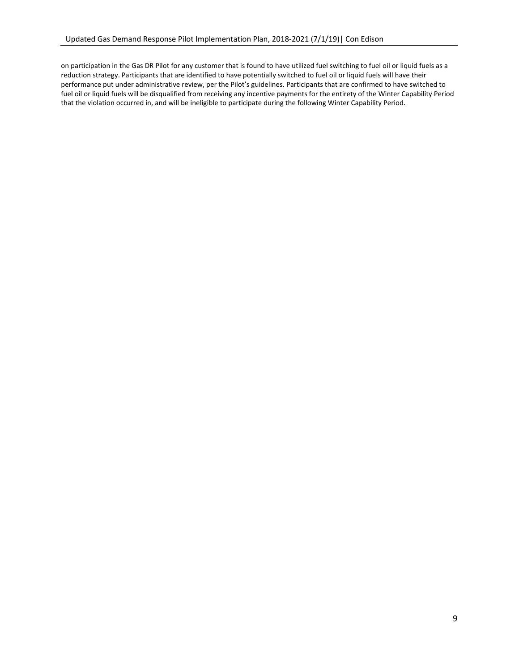on participation in the Gas DR Pilot for any customer that is found to have utilized fuel switching to fuel oil or liquid fuels as a reduction strategy. Participants that are identified to have potentially switched to fuel oil or liquid fuels will have their performance put under administrative review, per the Pilot's guidelines. Participants that are confirmed to have switched to fuel oil or liquid fuels will be disqualified from receiving any incentive payments for the entirety of the Winter Capability Period that the violation occurred in, and will be ineligible to participate during the following Winter Capability Period.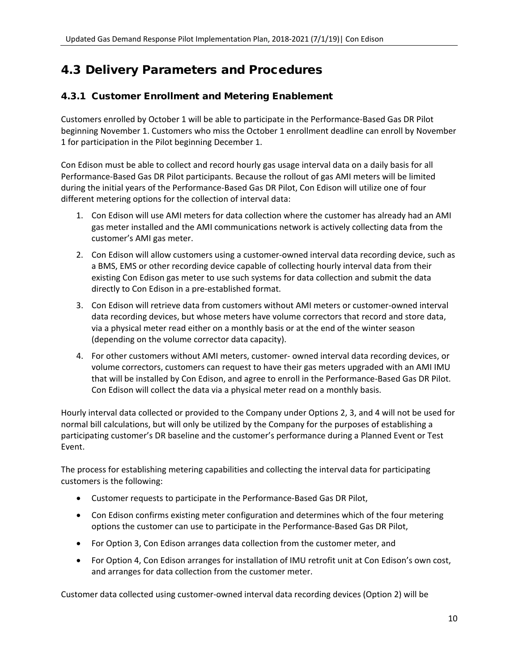### <span id="page-11-0"></span>4.3 Delivery Parameters and Procedures

### <span id="page-11-1"></span>4.3.1 Customer Enrollment and Metering Enablement

Customers enrolled by October 1 will be able to participate in the Performance-Based Gas DR Pilot beginning November 1. Customers who miss the October 1 enrollment deadline can enroll by November 1 for participation in the Pilot beginning December 1.

Con Edison must be able to collect and record hourly gas usage interval data on a daily basis for all Performance-Based Gas DR Pilot participants. Because the rollout of gas AMI meters will be limited during the initial years of the Performance-Based Gas DR Pilot, Con Edison will utilize one of four different metering options for the collection of interval data:

- 1. Con Edison will use AMI meters for data collection where the customer has already had an AMI gas meter installed and the AMI communications network is actively collecting data from the customer's AMI gas meter.
- 2. Con Edison will allow customers using a customer-owned interval data recording device, such as a BMS, EMS or other recording device capable of collecting hourly interval data from their existing Con Edison gas meter to use such systems for data collection and submit the data directly to Con Edison in a pre-established format.
- 3. Con Edison will retrieve data from customers without AMI meters or customer-owned interval data recording devices, but whose meters have volume correctors that record and store data, via a physical meter read either on a monthly basis or at the end of the winter season (depending on the volume corrector data capacity).
- 4. For other customers without AMI meters, customer- owned interval data recording devices, or volume correctors, customers can request to have their gas meters upgraded with an AMI IMU that will be installed by Con Edison, and agree to enroll in the Performance-Based Gas DR Pilot. Con Edison will collect the data via a physical meter read on a monthly basis.

Hourly interval data collected or provided to the Company under Options 2, 3, and 4 will not be used for normal bill calculations, but will only be utilized by the Company for the purposes of establishing a participating customer's DR baseline and the customer's performance during a Planned Event or Test Event.

The process for establishing metering capabilities and collecting the interval data for participating customers is the following:

- Customer requests to participate in the Performance-Based Gas DR Pilot,
- Con Edison confirms existing meter configuration and determines which of the four metering options the customer can use to participate in the Performance-Based Gas DR Pilot,
- For Option 3, Con Edison arranges data collection from the customer meter, and
- For Option 4, Con Edison arranges for installation of IMU retrofit unit at Con Edison's own cost, and arranges for data collection from the customer meter.

Customer data collected using customer-owned interval data recording devices (Option 2) will be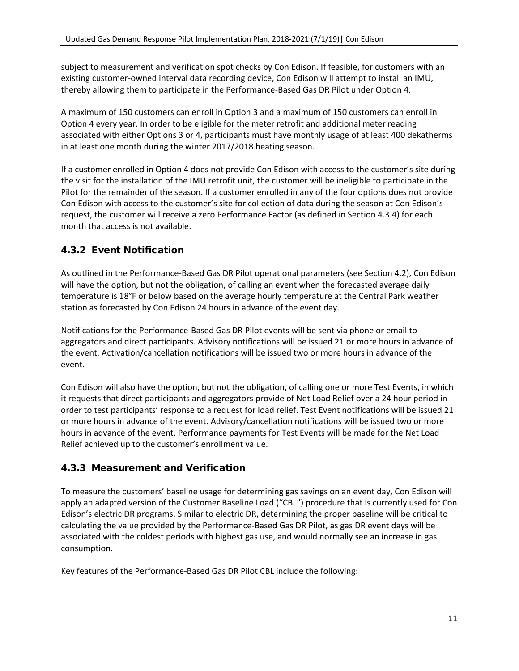subject to measurement and verification spot checks by Con Edison. If feasible, for customers with an existing customer-owned interval data recording device, Con Edison will attempt to install an IMU, thereby allowing them to participate in the Performance-Based Gas DR Pilot under Option 4.

A maximum of 150 customers can enroll in Option 3 and a maximum of 150 customers can enroll in Option 4 every year. In order to be eligible for the meter retrofit and additional meter reading associated with either Options 3 or 4, participants must have monthly usage of at least 400 dekatherms in at least one month during the winter 2017/2018 heating season.

If a customer enrolled in Option 4 does not provide Con Edison with access to the customer's site during the visit for the installation of the IMU retrofit unit, the customer will be ineligible to participate in the Pilot for the remainder of the season. If a customer enrolled in any of the four options does not provide Con Edison with access to the customer's site for collection of data during the season at Con Edison's request, the customer will receive a zero Performance Factor (as defined in Section [4.3.4\)](#page-13-0) for each month that access is not available.

### <span id="page-12-0"></span>4.3.2 Event Notification

As outlined in the Performance-Based Gas DR Pilot operational parameters (see Sectio[n 4.2\)](#page-9-0), Con Edison will have the option, but not the obligation, of calling an event when the forecasted average daily temperature is 18°F or below based on the average hourly temperature at the Central Park weather station as forecasted by Con Edison 24 hours in advance of the event day.

Notifications for the Performance-Based Gas DR Pilot events will be sent via phone or email to aggregators and direct participants. Advisory notifications will be issued 21 or more hours in advance of the event. Activation/cancellation notifications will be issued two or more hours in advance of the event.

Con Edison will also have the option, but not the obligation, of calling one or more Test Events, in which it requests that direct participants and aggregators provide of Net Load Relief over a 24 hour period in order to test participants' response to a request for load relief. Test Event notifications will be issued 21 or more hours in advance of the event. Advisory/cancellation notifications will be issued two or more hours in advance of the event. Performance payments for Test Events will be made for the Net Load Relief achieved up to the customer's enrollment value.

### <span id="page-12-1"></span>4.3.3 Measurement and Verification

To measure the customers' baseline usage for determining gas savings on an event day, Con Edison will apply an adapted version of the Customer Baseline Load ("CBL") procedure that is currently used for Con Edison's electric DR programs. Similar to electric DR, determining the proper baseline will be critical to calculating the value provided by the Performance-Based Gas DR Pilot, as gas DR event days will be associated with the coldest periods with highest gas use, and would normally see an increase in gas consumption.

Key features of the Performance-Based Gas DR Pilot CBL include the following: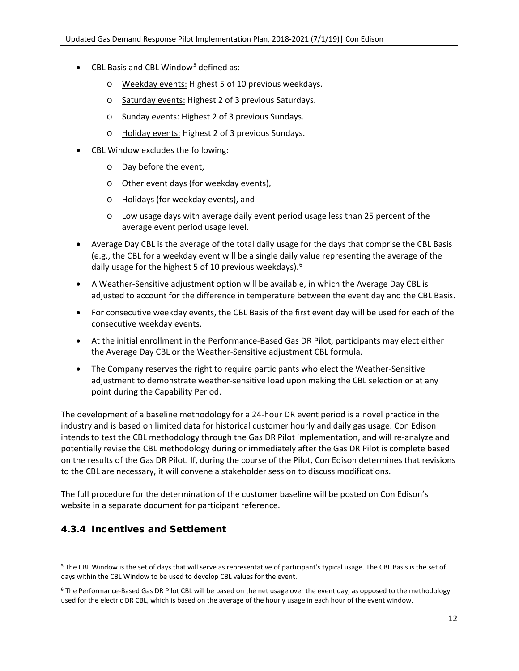- CBL Basis and CBL Window<sup>[5](#page-13-1)</sup> defined as:
	- o Weekday events: Highest 5 of 10 previous weekdays.
	- o Saturday events: Highest 2 of 3 previous Saturdays.
	- o Sunday events: Highest 2 of 3 previous Sundays.
	- o Holiday events: Highest 2 of 3 previous Sundays.
- CBL Window excludes the following:
	- o Day before the event,
	- o Other event days (for weekday events),
	- o Holidays (for weekday events), and
	- o Low usage days with average daily event period usage less than 25 percent of the average event period usage level.
- Average Day CBL is the average of the total daily usage for the days that comprise the CBL Basis (e.g., the CBL for a weekday event will be a single daily value representing the average of the daily usage for the highest 5 of 10 previous weekdays).<sup>[6](#page-13-2)</sup>
- A Weather-Sensitive adjustment option will be available, in which the Average Day CBL is adjusted to account for the difference in temperature between the event day and the CBL Basis.
- For consecutive weekday events, the CBL Basis of the first event day will be used for each of the consecutive weekday events.
- At the initial enrollment in the Performance-Based Gas DR Pilot, participants may elect either the Average Day CBL or the Weather-Sensitive adjustment CBL formula.
- The Company reserves the right to require participants who elect the Weather-Sensitive adjustment to demonstrate weather-sensitive load upon making the CBL selection or at any point during the Capability Period.

The development of a baseline methodology for a 24-hour DR event period is a novel practice in the industry and is based on limited data for historical customer hourly and daily gas usage. Con Edison intends to test the CBL methodology through the Gas DR Pilot implementation, and will re-analyze and potentially revise the CBL methodology during or immediately after the Gas DR Pilot is complete based on the results of the Gas DR Pilot. If, during the course of the Pilot, Con Edison determines that revisions to the CBL are necessary, it will convene a stakeholder session to discuss modifications.

The full procedure for the determination of the customer baseline will be posted on Con Edison's website in a separate document for participant reference.

### <span id="page-13-0"></span>4.3.4 Incentives and Settlement

<span id="page-13-1"></span><sup>&</sup>lt;sup>5</sup> The CBL Window is the set of days that will serve as representative of participant's typical usage. The CBL Basis is the set of days within the CBL Window to be used to develop CBL values for the event.

<span id="page-13-2"></span><sup>&</sup>lt;sup>6</sup> The Performance-Based Gas DR Pilot CBL will be based on the net usage over the event day, as opposed to the methodology used for the electric DR CBL, which is based on the average of the hourly usage in each hour of the event window.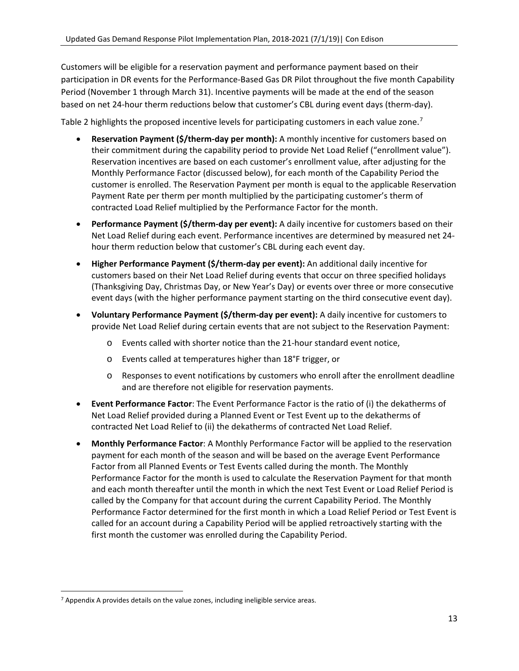Customers will be eligible for a reservation payment and performance payment based on their participation in DR events for the Performance-Based Gas DR Pilot throughout the five month Capability Period (November 1 through March 31). Incentive payments will be made at the end of the season based on net 24-hour therm reductions below that customer's CBL during event days (therm-day).

[Table 2](#page-15-1) highlights the proposed incentive levels for participating customers in each value zone.<sup>[7](#page-14-0)</sup>

- **Reservation Payment (\$/therm-day per month):** A monthly incentive for customers based on their commitment during the capability period to provide Net Load Relief ("enrollment value"). Reservation incentives are based on each customer's enrollment value, after adjusting for the Monthly Performance Factor (discussed below), for each month of the Capability Period the customer is enrolled. The Reservation Payment per month is equal to the applicable Reservation Payment Rate per therm per month multiplied by the participating customer's therm of contracted Load Relief multiplied by the Performance Factor for the month.
- **Performance Payment (\$/therm-day per event):** A daily incentive for customers based on their Net Load Relief during each event. Performance incentives are determined by measured net 24 hour therm reduction below that customer's CBL during each event day.
- **Higher Performance Payment (\$/therm-day per event):** An additional daily incentive for customers based on their Net Load Relief during events that occur on three specified holidays (Thanksgiving Day, Christmas Day, or New Year's Day) or events over three or more consecutive event days (with the higher performance payment starting on the third consecutive event day).
- **Voluntary Performance Payment (\$/therm-day per event):** A daily incentive for customers to provide Net Load Relief during certain events that are not subject to the Reservation Payment:
	- o Events called with shorter notice than the 21-hour standard event notice,
	- o Events called at temperatures higher than 18°F trigger, or
	- o Responses to event notifications by customers who enroll after the enrollment deadline and are therefore not eligible for reservation payments.
- **Event Performance Factor**: The Event Performance Factor is the ratio of (i) the dekatherms of Net Load Relief provided during a Planned Event or Test Event up to the dekatherms of contracted Net Load Relief to (ii) the dekatherms of contracted Net Load Relief.
- **Monthly Performance Factor**: A Monthly Performance Factor will be applied to the reservation payment for each month of the season and will be based on the average Event Performance Factor from all Planned Events or Test Events called during the month. The Monthly Performance Factor for the month is used to calculate the Reservation Payment for that month and each month thereafter until the month in which the next Test Event or Load Relief Period is called by the Company for that account during the current Capability Period. The Monthly Performance Factor determined for the first month in which a Load Relief Period or Test Event is called for an account during a Capability Period will be applied retroactively starting with the first month the customer was enrolled during the Capability Period.

<span id="page-14-0"></span> $<sup>7</sup>$  [Appendix A](#page-24-0) provides details on the value zones, including ineligible service areas.</sup>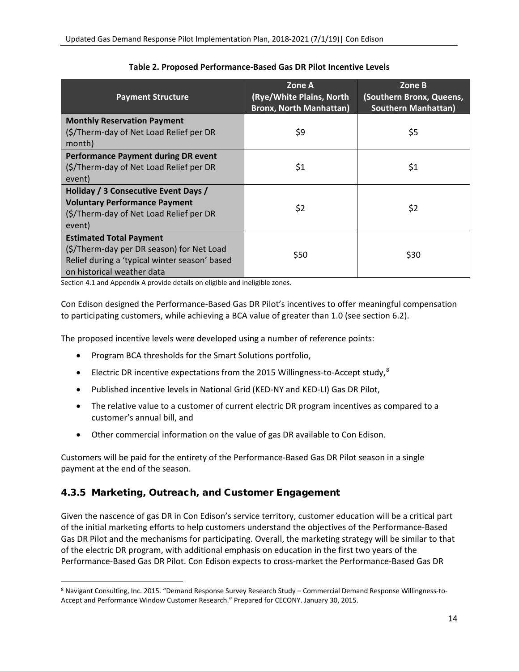<span id="page-15-1"></span>

| <b>Payment Structure</b>                                                                                                                                   | Zone A<br>(Rye/White Plains, North<br><b>Bronx, North Manhattan)</b> | Zone B<br>(Southern Bronx, Queens,<br><b>Southern Manhattan)</b> |
|------------------------------------------------------------------------------------------------------------------------------------------------------------|----------------------------------------------------------------------|------------------------------------------------------------------|
| <b>Monthly Reservation Payment</b><br>(\$/Therm-day of Net Load Relief per DR<br>month)                                                                    | \$9                                                                  | \$5                                                              |
| <b>Performance Payment during DR event</b><br>(\$/Therm-day of Net Load Relief per DR<br>event)                                                            | \$1                                                                  | \$1                                                              |
| Holiday / 3 Consecutive Event Days /<br><b>Voluntary Performance Payment</b><br>(\$/Therm-day of Net Load Relief per DR<br>event)                          | \$2                                                                  | \$2                                                              |
| <b>Estimated Total Payment</b><br>(\$/Therm-day per DR season) for Net Load<br>Relief during a 'typical winter season' based<br>on historical weather data | \$50                                                                 | \$30                                                             |

#### **Table 2. Proposed Performance-Based Gas DR Pilot Incentive Levels**

Section [4.1](#page-8-1) an[d Appendix A](#page-24-0) provide details on eligible and ineligible zones.

Con Edison designed the Performance-Based Gas DR Pilot's incentives to offer meaningful compensation to participating customers, while achieving a BCA value of greater than 1.0 (see section [6.2\)](#page-21-2).

The proposed incentive levels were developed using a number of reference points:

- Program BCA thresholds for the Smart Solutions portfolio,
- Electric DR incentive expectations from the 2015 Willingness-to-Accept study,<sup>[8](#page-15-2)</sup>
- Published incentive levels in National Grid (KED-NY and KED-LI) Gas DR Pilot,
- The relative value to a customer of current electric DR program incentives as compared to a customer's annual bill, and
- Other commercial information on the value of gas DR available to Con Edison.

Customers will be paid for the entirety of the Performance-Based Gas DR Pilot season in a single payment at the end of the season.

### <span id="page-15-0"></span>4.3.5 Marketing, Outreach, and Customer Engagement

Given the nascence of gas DR in Con Edison's service territory, customer education will be a critical part of the initial marketing efforts to help customers understand the objectives of the Performance-Based Gas DR Pilot and the mechanisms for participating. Overall, the marketing strategy will be similar to that of the electric DR program, with additional emphasis on education in the first two years of the Performance-Based Gas DR Pilot. Con Edison expects to cross-market the Performance-Based Gas DR

<span id="page-15-2"></span> <sup>8</sup> Navigant Consulting, Inc. 2015. "Demand Response Survey Research Study – Commercial Demand Response Willingness-to-Accept and Performance Window Customer Research." Prepared for CECONY. January 30, 2015.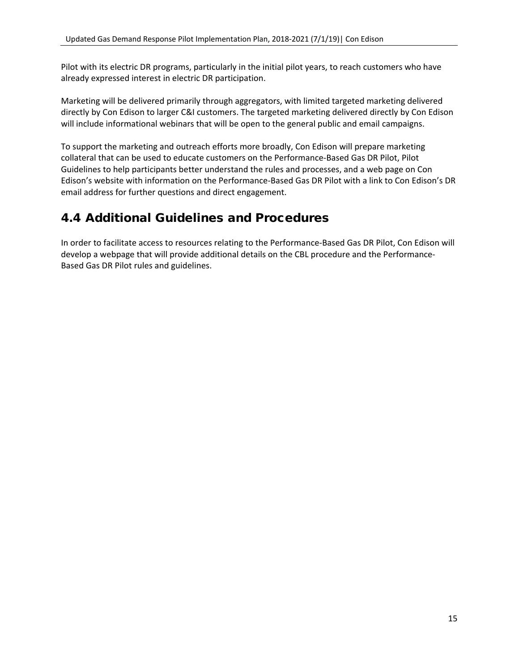Pilot with its electric DR programs, particularly in the initial pilot years, to reach customers who have already expressed interest in electric DR participation.

Marketing will be delivered primarily through aggregators, with limited targeted marketing delivered directly by Con Edison to larger C&I customers. The targeted marketing delivered directly by Con Edison will include informational webinars that will be open to the general public and email campaigns.

To support the marketing and outreach efforts more broadly, Con Edison will prepare marketing collateral that can be used to educate customers on the Performance-Based Gas DR Pilot, Pilot Guidelines to help participants better understand the rules and processes, and a web page on Con Edison's website with information on the Performance-Based Gas DR Pilot with a link to Con Edison's DR email address for further questions and direct engagement.

### <span id="page-16-0"></span>4.4 Additional Guidelines and Procedures

In order to facilitate access to resources relating to the Performance-Based Gas DR Pilot, Con Edison will develop a webpage that will provide additional details on the CBL procedure and the Performance-Based Gas DR Pilot rules and guidelines.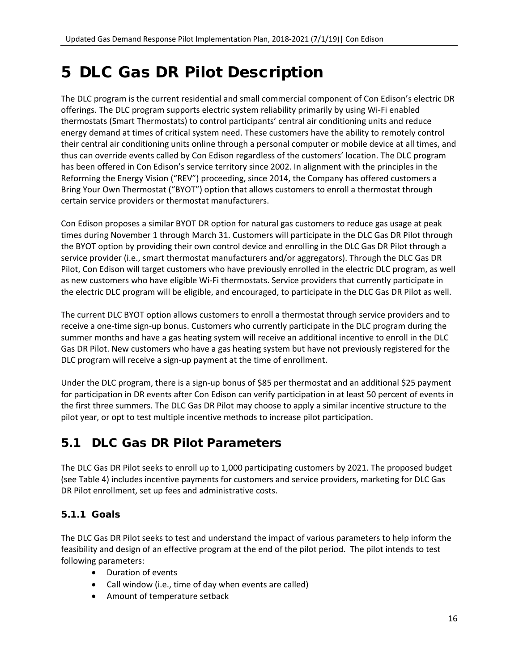## <span id="page-17-0"></span>5 DLC Gas DR Pilot Description

The DLC program is the current residential and small commercial component of Con Edison's electric DR offerings. The DLC program supports electric system reliability primarily by using Wi-Fi enabled thermostats (Smart Thermostats) to control participants' central air conditioning units and reduce energy demand at times of critical system need. These customers have the ability to remotely control their central air conditioning units online through a personal computer or mobile device at all times, and thus can override events called by Con Edison regardless of the customers' location. The DLC program has been offered in Con Edison's service territory since 2002. In alignment with the principles in the Reforming the Energy Vision ("REV") proceeding, since 2014, the Company has offered customers a Bring Your Own Thermostat ("BYOT") option that allows customers to enroll a thermostat through certain service providers or thermostat manufacturers.

Con Edison proposes a similar BYOT DR option for natural gas customers to reduce gas usage at peak times during November 1 through March 31. Customers will participate in the DLC Gas DR Pilot through the BYOT option by providing their own control device and enrolling in the DLC Gas DR Pilot through a service provider (i.e., smart thermostat manufacturers and/or aggregators). Through the DLC Gas DR Pilot, Con Edison will target customers who have previously enrolled in the electric DLC program, as well as new customers who have eligible Wi-Fi thermostats. Service providers that currently participate in the electric DLC program will be eligible, and encouraged, to participate in the DLC Gas DR Pilot as well.

The current DLC BYOT option allows customers to enroll a thermostat through service providers and to receive a one-time sign-up bonus. Customers who currently participate in the DLC program during the summer months and have a gas heating system will receive an additional incentive to enroll in the DLC Gas DR Pilot. New customers who have a gas heating system but have not previously registered for the DLC program will receive a sign-up payment at the time of enrollment.

Under the DLC program, there is a sign-up bonus of \$85 per thermostat and an additional \$25 payment for participation in DR events after Con Edison can verify participation in at least 50 percent of events in the first three summers. The DLC Gas DR Pilot may choose to apply a similar incentive structure to the pilot year, or opt to test multiple incentive methods to increase pilot participation.

## <span id="page-17-1"></span>5.1 DLC Gas DR Pilot Parameters

The DLC Gas DR Pilot seeks to enroll up to 1,000 participating customers by 2021. The proposed budget (see [Table 4\)](#page-20-4) includes incentive payments for customers and service providers, marketing for DLC Gas DR Pilot enrollment, set up fees and administrative costs.

### <span id="page-17-2"></span>5.1.1 Goals

The DLC Gas DR Pilot seeks to test and understand the impact of various parameters to help inform the feasibility and design of an effective program at the end of the pilot period. The pilot intends to test following parameters:

- Duration of events
- Call window (i.e., time of day when events are called)
- Amount of temperature setback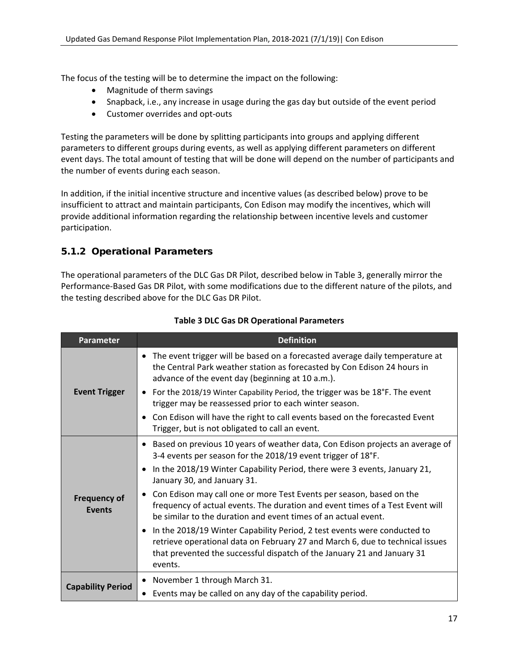The focus of the testing will be to determine the impact on the following:

- Magnitude of therm savings
- Snapback, i.e., any increase in usage during the gas day but outside of the event period
- Customer overrides and opt-outs

Testing the parameters will be done by splitting participants into groups and applying different parameters to different groups during events, as well as applying different parameters on different event days. The total amount of testing that will be done will depend on the number of participants and the number of events during each season.

In addition, if the initial incentive structure and incentive values (as described below) prove to be insufficient to attract and maintain participants, Con Edison may modify the incentives, which will provide additional information regarding the relationship between incentive levels and customer participation.

### <span id="page-18-0"></span>5.1.2 Operational Parameters

The operational parameters of the DLC Gas DR Pilot, described below in [Table 3,](#page-18-1) generally mirror the Performance-Based Gas DR Pilot, with some modifications due to the different nature of the pilots, and the testing described above for the DLC Gas DR Pilot.

<span id="page-18-1"></span>

| <b>Parameter</b>                     | <b>Definition</b>                                                                                                                                                                                                                                                                                                                                                                                                                                                                                                                                                                                                                                                                                                                                                   |
|--------------------------------------|---------------------------------------------------------------------------------------------------------------------------------------------------------------------------------------------------------------------------------------------------------------------------------------------------------------------------------------------------------------------------------------------------------------------------------------------------------------------------------------------------------------------------------------------------------------------------------------------------------------------------------------------------------------------------------------------------------------------------------------------------------------------|
| <b>Event Trigger</b>                 | • The event trigger will be based on a forecasted average daily temperature at<br>the Central Park weather station as forecasted by Con Edison 24 hours in<br>advance of the event day (beginning at 10 a.m.).<br>For the 2018/19 Winter Capability Period, the trigger was be 18°F. The event<br>trigger may be reassessed prior to each winter season.<br>Con Edison will have the right to call events based on the forecasted Event<br>Trigger, but is not obligated to call an event.                                                                                                                                                                                                                                                                          |
| <b>Frequency of</b><br><b>Events</b> | • Based on previous 10 years of weather data, Con Edison projects an average of<br>3-4 events per season for the 2018/19 event trigger of 18°F.<br>In the 2018/19 Winter Capability Period, there were 3 events, January 21,<br>$\bullet$<br>January 30, and January 31.<br>Con Edison may call one or more Test Events per season, based on the<br>frequency of actual events. The duration and event times of a Test Event will<br>be similar to the duration and event times of an actual event.<br>In the 2018/19 Winter Capability Period, 2 test events were conducted to<br>$\bullet$<br>retrieve operational data on February 27 and March 6, due to technical issues<br>that prevented the successful dispatch of the January 21 and January 31<br>events. |
| <b>Capability Period</b>             | November 1 through March 31.<br>$\bullet$<br>Events may be called on any day of the capability period.                                                                                                                                                                                                                                                                                                                                                                                                                                                                                                                                                                                                                                                              |

#### **Table 3 DLC Gas DR Operational Parameters**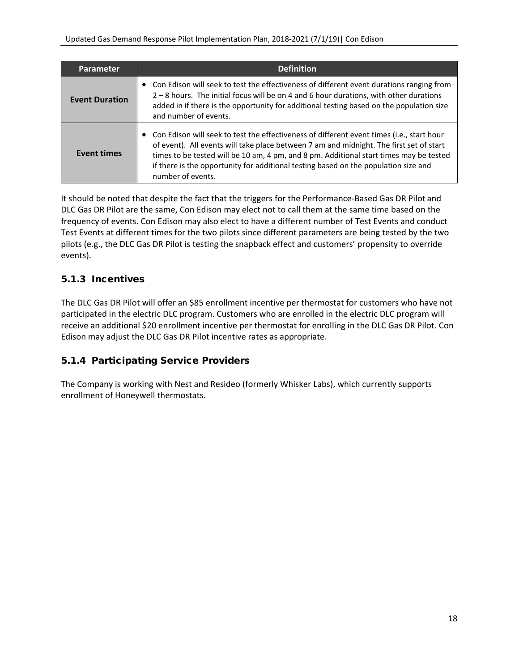| <b>Parameter</b>      | <b>Definition</b>                                                                                                                                                                                                                                                                                                                                                                            |
|-----------------------|----------------------------------------------------------------------------------------------------------------------------------------------------------------------------------------------------------------------------------------------------------------------------------------------------------------------------------------------------------------------------------------------|
| <b>Event Duration</b> | Con Edison will seek to test the effectiveness of different event durations ranging from<br>2 – 8 hours. The initial focus will be on 4 and 6 hour durations, with other durations<br>added in if there is the opportunity for additional testing based on the population size<br>and number of events.                                                                                      |
| <b>Event times</b>    | • Con Edison will seek to test the effectiveness of different event times (i.e., start hour<br>of event). All events will take place between 7 am and midnight. The first set of start<br>times to be tested will be 10 am, 4 pm, and 8 pm. Additional start times may be tested<br>if there is the opportunity for additional testing based on the population size and<br>number of events. |

It should be noted that despite the fact that the triggers for the Performance-Based Gas DR Pilot and DLC Gas DR Pilot are the same, Con Edison may elect not to call them at the same time based on the frequency of events. Con Edison may also elect to have a different number of Test Events and conduct Test Events at different times for the two pilots since different parameters are being tested by the two pilots (e.g., the DLC Gas DR Pilot is testing the snapback effect and customers' propensity to override events).

### <span id="page-19-0"></span>5.1.3 Incentives

The DLC Gas DR Pilot will offer an \$85 enrollment incentive per thermostat for customers who have not participated in the electric DLC program. Customers who are enrolled in the electric DLC program will receive an additional \$20 enrollment incentive per thermostat for enrolling in the DLC Gas DR Pilot. Con Edison may adjust the DLC Gas DR Pilot incentive rates as appropriate.

### <span id="page-19-1"></span>5.1.4 Participating Service Providers

The Company is working with Nest and Resideo (formerly Whisker Labs), which currently supports enrollment of Honeywell thermostats.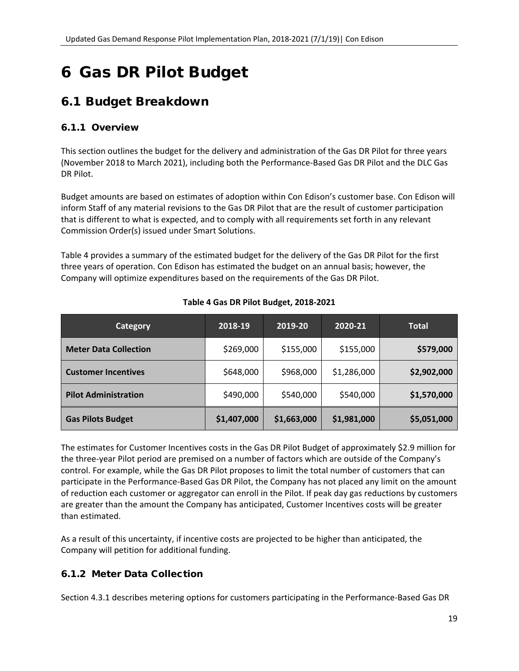## <span id="page-20-0"></span>6 Gas DR Pilot Budget

### <span id="page-20-1"></span>6.1 Budget Breakdown

### <span id="page-20-2"></span>6.1.1 Overview

This section outlines the budget for the delivery and administration of the Gas DR Pilot for three years (November 2018 to March 2021), including both the Performance-Based Gas DR Pilot and the DLC Gas DR Pilot.

Budget amounts are based on estimates of adoption within Con Edison's customer base. Con Edison will inform Staff of any material revisions to the Gas DR Pilot that are the result of customer participation that is different to what is expected, and to comply with all requirements set forth in any relevant Commission Order(s) issued under Smart Solutions.

[Table 4](#page-20-4) provides a summary of the estimated budget for the delivery of the Gas DR Pilot for the first three years of operation. Con Edison has estimated the budget on an annual basis; however, the Company will optimize expenditures based on the requirements of the Gas DR Pilot.

<span id="page-20-4"></span>

| <b>Category</b>              | 2018-19     | 2019-20     | 2020-21     | <b>Total</b> |
|------------------------------|-------------|-------------|-------------|--------------|
| <b>Meter Data Collection</b> | \$269,000   | \$155,000   | \$155,000   | \$579,000    |
| <b>Customer Incentives</b>   | \$648,000   | \$968,000   | \$1,286,000 | \$2,902,000  |
| <b>Pilot Administration</b>  | \$490,000   | \$540,000   | \$540,000   | \$1,570,000  |
| <b>Gas Pilots Budget</b>     | \$1,407,000 | \$1,663,000 | \$1,981,000 | \$5,051,000  |

#### **Table 4 Gas DR Pilot Budget, 2018-2021**

The estimates for Customer Incentives costs in the Gas DR Pilot Budget of approximately \$2.9 million for the three-year Pilot period are premised on a number of factors which are outside of the Company's control. For example, while the Gas DR Pilot proposes to limit the total number of customers that can participate in the Performance-Based Gas DR Pilot, the Company has not placed any limit on the amount of reduction each customer or aggregator can enroll in the Pilot. If peak day gas reductions by customers are greater than the amount the Company has anticipated, Customer Incentives costs will be greater than estimated.

As a result of this uncertainty, if incentive costs are projected to be higher than anticipated, the Company will petition for additional funding.

### <span id="page-20-3"></span>6.1.2 Meter Data Collection

Section [4.3.1](#page-11-1) describes metering options for customers participating in the Performance-Based Gas DR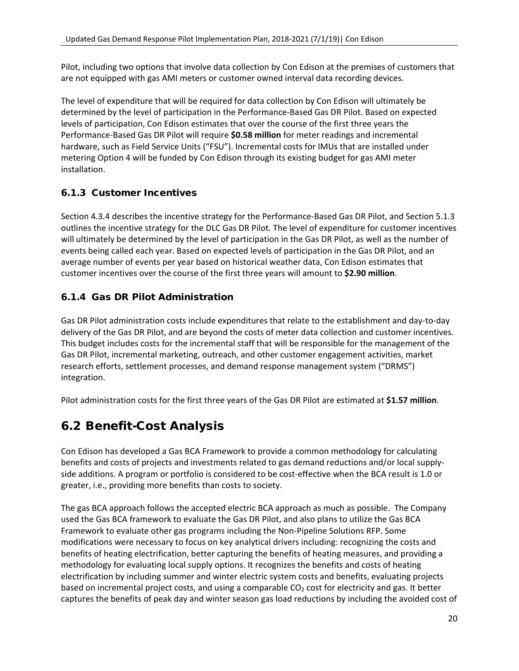Pilot, including two options that involve data collection by Con Edison at the premises of customers that are not equipped with gas AMI meters or customer owned interval data recording devices.

The level of expenditure that will be required for data collection by Con Edison will ultimately be determined by the level of participation in the Performance-Based Gas DR Pilot. Based on expected levels of participation, Con Edison estimates that over the course of the first three years the Performance-Based Gas DR Pilot will require **\$0.58 million** for meter readings and incremental hardware, such as Field Service Units ("FSU"). Incremental costs for IMUs that are installed under metering Option 4 will be funded by Con Edison through its existing budget for gas AMI meter installation.

### <span id="page-21-0"></span>6.1.3 Customer Incentives

Section [4.3.4](#page-13-0) describes the incentive strategy for the Performance-Based Gas DR Pilot, and Section [5.1.3](#page-19-0) outlines the incentive strategy for the DLC Gas DR Pilot. The level of expenditure for customer incentives will ultimately be determined by the level of participation in the Gas DR Pilot, as well as the number of events being called each year. Based on expected levels of participation in the Gas DR Pilot, and an average number of events per year based on historical weather data, Con Edison estimates that customer incentives over the course of the first three years will amount to **\$2.90 million**.

### <span id="page-21-1"></span>6.1.4 Gas DR Pilot Administration

Gas DR Pilot administration costs include expenditures that relate to the establishment and day-to-day delivery of the Gas DR Pilot, and are beyond the costs of meter data collection and customer incentives. This budget includes costs for the incremental staff that will be responsible for the management of the Gas DR Pilot, incremental marketing, outreach, and other customer engagement activities, market research efforts, settlement processes, and demand response management system ("DRMS") integration.

Pilot administration costs for the first three years of the Gas DR Pilot are estimated at **\$1.57 million**.

### <span id="page-21-2"></span>6.2 Benefit-Cost Analysis

Con Edison has developed a Gas BCA Framework to provide a common methodology for calculating benefits and costs of projects and investments related to gas demand reductions and/or local supplyside additions. A program or portfolio is considered to be cost-effective when the BCA result is 1.0 or greater, i.e., providing more benefits than costs to society.

The gas BCA approach follows the accepted electric BCA approach as much as possible. The Company used the Gas BCA framework to evaluate the Gas DR Pilot, and also plans to utilize the Gas BCA Framework to evaluate other gas programs including the Non-Pipeline Solutions RFP. Some modifications were necessary to focus on key analytical drivers including: recognizing the costs and benefits of heating electrification, better capturing the benefits of heating measures, and providing a methodology for evaluating local supply options. It recognizes the benefits and costs of heating electrification by including summer and winter electric system costs and benefits, evaluating projects based on incremental project costs, and using a comparable  $CO<sub>2</sub>$  cost for electricity and gas. It better captures the benefits of peak day and winter season gas load reductions by including the avoided cost of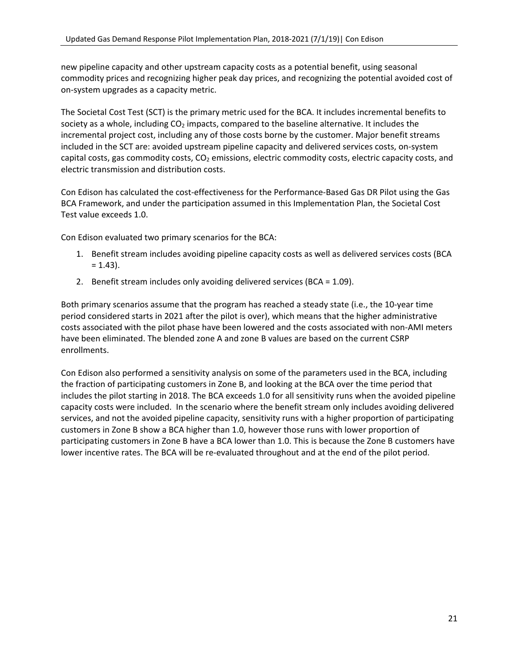new pipeline capacity and other upstream capacity costs as a potential benefit, using seasonal commodity prices and recognizing higher peak day prices, and recognizing the potential avoided cost of on-system upgrades as a capacity metric.

The Societal Cost Test (SCT) is the primary metric used for the BCA. It includes incremental benefits to society as a whole, including  $CO<sub>2</sub>$  impacts, compared to the baseline alternative. It includes the incremental project cost, including any of those costs borne by the customer. Major benefit streams included in the SCT are: avoided upstream pipeline capacity and delivered services costs, on-system capital costs, gas commodity costs,  $CO<sub>2</sub>$  emissions, electric commodity costs, electric capacity costs, and electric transmission and distribution costs.

Con Edison has calculated the cost-effectiveness for the Performance-Based Gas DR Pilot using the Gas BCA Framework, and under the participation assumed in this Implementation Plan, the Societal Cost Test value exceeds 1.0.

Con Edison evaluated two primary scenarios for the BCA:

- 1. Benefit stream includes avoiding pipeline capacity costs as well as delivered services costs (BCA  $= 1.43$ ).
- 2. Benefit stream includes only avoiding delivered services (BCA = 1.09).

Both primary scenarios assume that the program has reached a steady state (i.e., the 10-year time period considered starts in 2021 after the pilot is over), which means that the higher administrative costs associated with the pilot phase have been lowered and the costs associated with non-AMI meters have been eliminated. The blended zone A and zone B values are based on the current CSRP enrollments.

Con Edison also performed a sensitivity analysis on some of the parameters used in the BCA, including the fraction of participating customers in Zone B, and looking at the BCA over the time period that includes the pilot starting in 2018. The BCA exceeds 1.0 for all sensitivity runs when the avoided pipeline capacity costs were included. In the scenario where the benefit stream only includes avoiding delivered services, and not the avoided pipeline capacity, sensitivity runs with a higher proportion of participating customers in Zone B show a BCA higher than 1.0, however those runs with lower proportion of participating customers in Zone B have a BCA lower than 1.0. This is because the Zone B customers have lower incentive rates. The BCA will be re-evaluated throughout and at the end of the pilot period.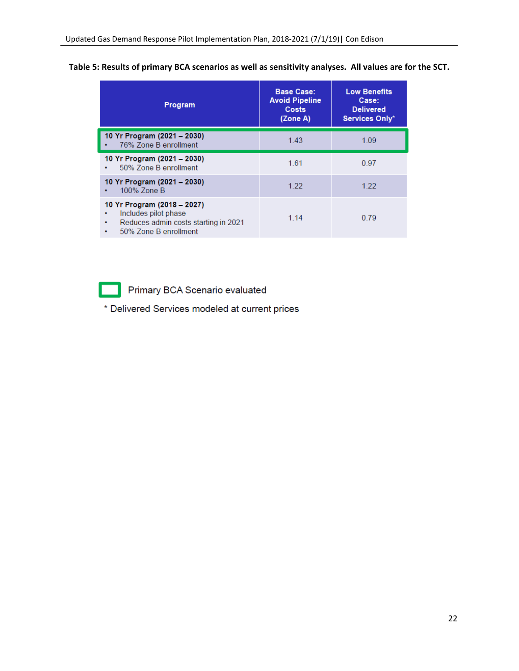| Table 5: Results of primary BCA scenarios as well as sensitivity analyses. All values are for the SCT. |  |
|--------------------------------------------------------------------------------------------------------|--|
|--------------------------------------------------------------------------------------------------------|--|

| Program                                                                                                                        | <b>Base Case:</b><br><b>Avoid Pipeline</b><br><b>Costs</b><br>(Zone A) | <b>Low Benefits</b><br>Case:<br><b>Delivered</b><br>Services Only* |
|--------------------------------------------------------------------------------------------------------------------------------|------------------------------------------------------------------------|--------------------------------------------------------------------|
| 10 Yr Program (2021 - 2030)<br>76% Zone B enrollment<br>٠                                                                      | 1.43                                                                   | 1.09                                                               |
| 10 Yr Program (2021 – 2030)<br>50% Zone B enrollment<br>٠                                                                      | 1.61                                                                   | 0.97                                                               |
| 10 Yr Program (2021 – 2030)<br>100% Zone B                                                                                     | 1.22                                                                   | 1.22                                                               |
| 10 Yr Program (2018 – 2027)<br>Includes pilot phase<br>Reduces admin costs starting in 2021<br>٠<br>50% Zone B enrollment<br>٠ | 1.14                                                                   | 0.79                                                               |

Primary BCA Scenario evaluated

\* Delivered Services modeled at current prices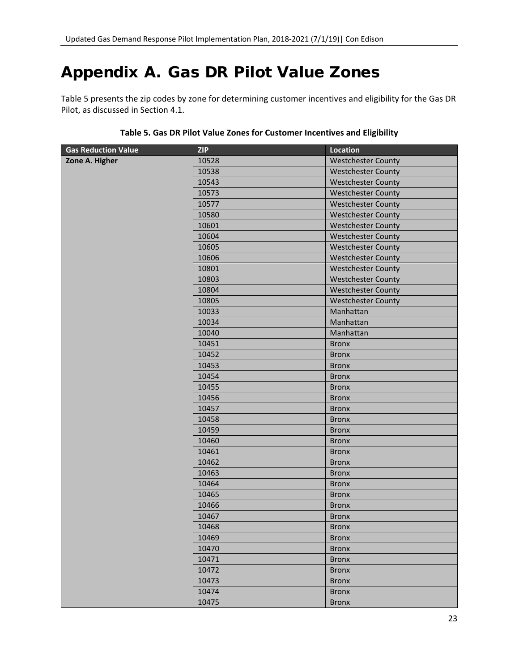## <span id="page-24-0"></span>Appendix A. Gas DR Pilot Value Zones

[Table 5](#page-24-1) presents the zip codes by zone for determining customer incentives and eligibility for the Gas DR Pilot, as discussed in Section [4.1.](#page-8-1)

<span id="page-24-1"></span>

| <b>Gas Reduction Value</b> | <b>ZIP</b> | <b>Location</b>           |
|----------------------------|------------|---------------------------|
| Zone A. Higher             | 10528      | <b>Westchester County</b> |
|                            | 10538      | <b>Westchester County</b> |
|                            | 10543      | <b>Westchester County</b> |
|                            | 10573      | <b>Westchester County</b> |
|                            | 10577      | <b>Westchester County</b> |
|                            | 10580      | <b>Westchester County</b> |
|                            | 10601      | <b>Westchester County</b> |
|                            | 10604      | <b>Westchester County</b> |
|                            | 10605      | <b>Westchester County</b> |
|                            | 10606      | <b>Westchester County</b> |
|                            | 10801      | <b>Westchester County</b> |
|                            | 10803      | <b>Westchester County</b> |
|                            | 10804      | <b>Westchester County</b> |
|                            | 10805      | <b>Westchester County</b> |
|                            | 10033      | Manhattan                 |
|                            | 10034      | Manhattan                 |
|                            | 10040      | Manhattan                 |
|                            | 10451      | <b>Bronx</b>              |
|                            | 10452      | <b>Bronx</b>              |
|                            | 10453      | <b>Bronx</b>              |
|                            | 10454      | <b>Bronx</b>              |
|                            | 10455      | <b>Bronx</b>              |
|                            | 10456      | <b>Bronx</b>              |
|                            | 10457      | <b>Bronx</b>              |
|                            | 10458      | <b>Bronx</b>              |
|                            | 10459      | <b>Bronx</b>              |
|                            | 10460      | <b>Bronx</b>              |
|                            | 10461      | <b>Bronx</b>              |
|                            | 10462      | <b>Bronx</b>              |
|                            | 10463      | <b>Bronx</b>              |
|                            | 10464      | <b>Bronx</b>              |
|                            | 10465      | <b>Bronx</b>              |
|                            | 10466      | <b>Bronx</b>              |
|                            | 10467      | <b>Bronx</b>              |
|                            | 10468      | <b>Bronx</b>              |
|                            | 10469      | <b>Bronx</b>              |
|                            | 10470      | <b>Bronx</b>              |
|                            | 10471      | <b>Bronx</b>              |
|                            | 10472      | <b>Bronx</b>              |
|                            | 10473      | <b>Bronx</b>              |
|                            | 10474      | <b>Bronx</b>              |
|                            | 10475      | <b>Bronx</b>              |

#### **Table 5. Gas DR Pilot Value Zones for Customer Incentives and Eligibility**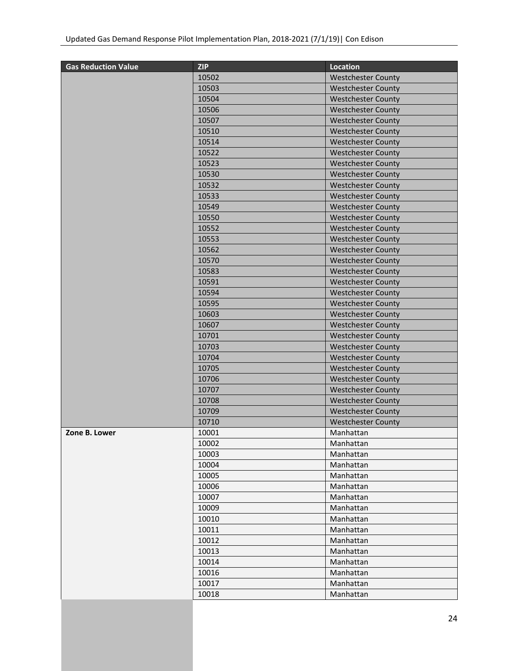| <b>Gas Reduction Value</b> | <b>ZIP</b> | <b>Location</b>           |
|----------------------------|------------|---------------------------|
|                            | 10502      | <b>Westchester County</b> |
|                            | 10503      | <b>Westchester County</b> |
|                            | 10504      | <b>Westchester County</b> |
|                            | 10506      | <b>Westchester County</b> |
|                            | 10507      | <b>Westchester County</b> |
|                            | 10510      | <b>Westchester County</b> |
|                            | 10514      | <b>Westchester County</b> |
|                            | 10522      | <b>Westchester County</b> |
|                            | 10523      | <b>Westchester County</b> |
|                            | 10530      | <b>Westchester County</b> |
|                            | 10532      | <b>Westchester County</b> |
|                            | 10533      | <b>Westchester County</b> |
|                            | 10549      | <b>Westchester County</b> |
|                            | 10550      | <b>Westchester County</b> |
|                            | 10552      | <b>Westchester County</b> |
|                            | 10553      | <b>Westchester County</b> |
|                            | 10562      | <b>Westchester County</b> |
|                            | 10570      | <b>Westchester County</b> |
|                            | 10583      | <b>Westchester County</b> |
|                            | 10591      | <b>Westchester County</b> |
|                            | 10594      | <b>Westchester County</b> |
|                            | 10595      | <b>Westchester County</b> |
|                            | 10603      | <b>Westchester County</b> |
|                            | 10607      | <b>Westchester County</b> |
|                            | 10701      | <b>Westchester County</b> |
|                            | 10703      | <b>Westchester County</b> |
|                            | 10704      | <b>Westchester County</b> |
|                            | 10705      | <b>Westchester County</b> |
|                            | 10706      | <b>Westchester County</b> |
|                            | 10707      | <b>Westchester County</b> |
|                            | 10708      | <b>Westchester County</b> |
|                            | 10709      | <b>Westchester County</b> |
|                            | 10710      | <b>Westchester County</b> |
| Zone B. Lower              | 10001      | Manhattan                 |
|                            | 10002      | Manhattan                 |
|                            | 10003      | Manhattan                 |
|                            | 10004      | Manhattan                 |
|                            | 10005      | Manhattan                 |
|                            | 10006      | Manhattan                 |
|                            | 10007      | Manhattan                 |
|                            | 10009      | Manhattan                 |
|                            | 10010      | Manhattan                 |
|                            | 10011      | Manhattan                 |
|                            | 10012      | Manhattan                 |
|                            | 10013      | Manhattan                 |
|                            | 10014      | Manhattan                 |
|                            | 10016      | Manhattan                 |
|                            | 10017      | Manhattan                 |
|                            | 10018      | Manhattan                 |
|                            |            |                           |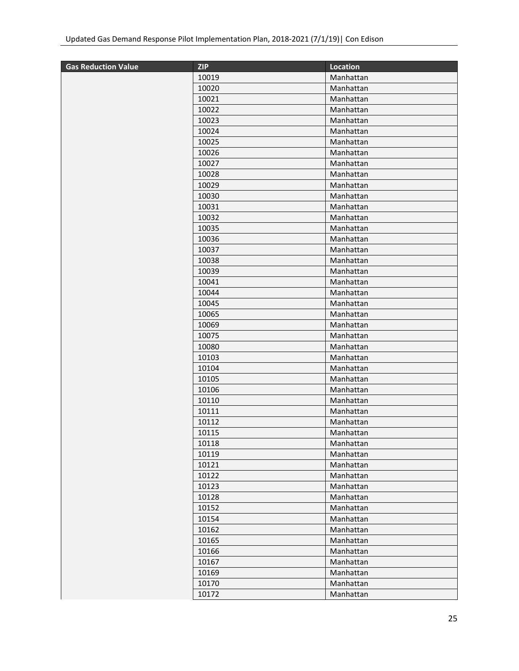| <b>Gas Reduction Value</b> | <b>ZIP</b> | <b>Location</b> |
|----------------------------|------------|-----------------|
|                            | 10019      | Manhattan       |
|                            | 10020      | Manhattan       |
|                            | 10021      | Manhattan       |
|                            | 10022      | Manhattan       |
|                            | 10023      | Manhattan       |
|                            | 10024      | Manhattan       |
|                            | 10025      | Manhattan       |
|                            | 10026      | Manhattan       |
|                            | 10027      | Manhattan       |
|                            | 10028      | Manhattan       |
|                            | 10029      | Manhattan       |
|                            | 10030      | Manhattan       |
|                            | 10031      | Manhattan       |
|                            | 10032      | Manhattan       |
|                            | 10035      | Manhattan       |
|                            | 10036      | Manhattan       |
|                            | 10037      | Manhattan       |
|                            | 10038      | Manhattan       |
|                            | 10039      | Manhattan       |
|                            | 10041      | Manhattan       |
|                            | 10044      | Manhattan       |
|                            | 10045      | Manhattan       |
|                            | 10065      | Manhattan       |
|                            | 10069      | Manhattan       |
|                            | 10075      | Manhattan       |
|                            | 10080      | Manhattan       |
|                            | 10103      | Manhattan       |
|                            | 10104      | Manhattan       |
|                            | 10105      | Manhattan       |
|                            | 10106      | Manhattan       |
|                            | 10110      | Manhattan       |
|                            | 10111      | Manhattan       |
|                            | 10112      | Manhattan       |
|                            | 10115      | Manhattan       |
|                            | 10118      | Manhattan       |
|                            | 10119      | Manhattan       |
|                            | 10121      | Manhattan       |
|                            | 10122      | Manhattan       |
|                            | 10123      | Manhattan       |
|                            | 10128      | Manhattan       |
|                            | 10152      | Manhattan       |
|                            | 10154      | Manhattan       |
|                            | 10162      | Manhattan       |
|                            | 10165      | Manhattan       |
|                            | 10166      | Manhattan       |
|                            | 10167      | Manhattan       |
|                            | 10169      | Manhattan       |
|                            | 10170      | Manhattan       |
|                            | 10172      | Manhattan       |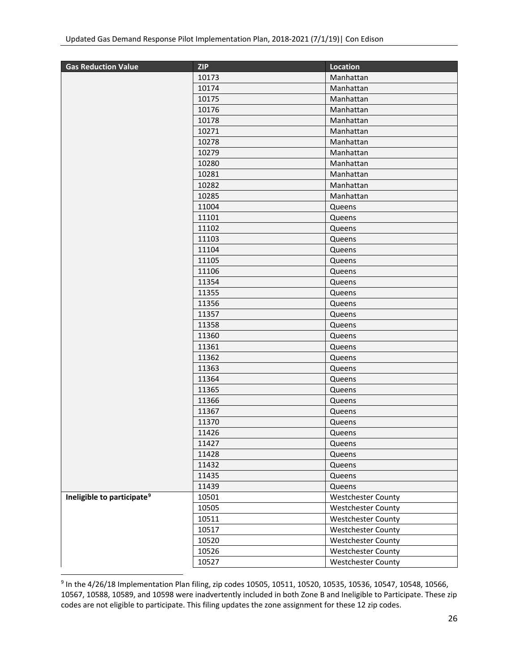| <b>Gas Reduction Value</b>             | <b>ZIP</b> | Location                  |
|----------------------------------------|------------|---------------------------|
|                                        | 10173      | Manhattan                 |
|                                        | 10174      | Manhattan                 |
|                                        | 10175      | Manhattan                 |
|                                        | 10176      | Manhattan                 |
|                                        | 10178      | Manhattan                 |
|                                        | 10271      | Manhattan                 |
|                                        | 10278      | Manhattan                 |
|                                        | 10279      | Manhattan                 |
|                                        | 10280      | Manhattan                 |
|                                        | 10281      | Manhattan                 |
|                                        | 10282      | Manhattan                 |
|                                        | 10285      | Manhattan                 |
|                                        | 11004      | Queens                    |
|                                        | 11101      | Queens                    |
|                                        | 11102      | Queens                    |
|                                        | 11103      | Queens                    |
|                                        | 11104      | Queens                    |
|                                        | 11105      | Queens                    |
|                                        | 11106      | Queens                    |
|                                        | 11354      | Queens                    |
|                                        | 11355      | Queens                    |
|                                        | 11356      | Queens                    |
|                                        | 11357      | Queens                    |
|                                        | 11358      | Queens                    |
|                                        | 11360      | Queens                    |
|                                        | 11361      | Queens                    |
|                                        | 11362      | Queens                    |
|                                        | 11363      | Queens                    |
|                                        | 11364      | Queens                    |
|                                        | 11365      | Queens                    |
|                                        | 11366      | Queens                    |
|                                        | 11367      | Queens                    |
|                                        | 11370      | Queens                    |
|                                        | 11426      | Queens                    |
|                                        | 11427      | Queens                    |
|                                        | 11428      | Queens                    |
|                                        | 11432      | Queens                    |
|                                        | 11435      | Queens                    |
|                                        | 11439      | Queens                    |
| Ineligible to participate <sup>9</sup> | 10501      | <b>Westchester County</b> |
|                                        | 10505      | <b>Westchester County</b> |
|                                        | 10511      | <b>Westchester County</b> |
|                                        | 10517      | <b>Westchester County</b> |
|                                        | 10520      | <b>Westchester County</b> |
|                                        | 10526      | <b>Westchester County</b> |
|                                        | 10527      | <b>Westchester County</b> |

<span id="page-27-0"></span> In the 4/26/18 Implementation Plan filing, zip codes 10505, 10511, 10520, 10535, 10536, 10547, 10548, 10566, 10567, 10588, 10589, and 10598 were inadvertently included in both Zone B and Ineligible to Participate. These zip codes are not eligible to participate. This filing updates the zone assignment for these 12 zip codes.